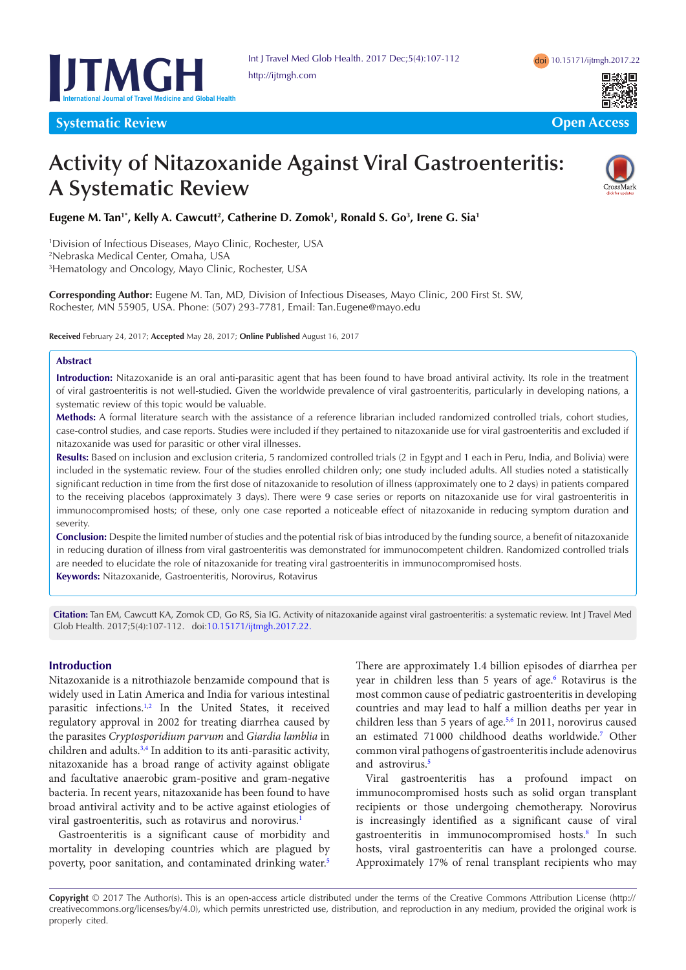



**Systematic Review Contract Contract Contract Contract Contract Contract Contract Contract Contract Contract Contract Contract Contract Contract Contract Contract Contract Contract Contract Contract Contract Contract Contr** 

# **Activity of Nitazoxanide Against Viral Gastroenteritis: A Systematic Review**



# Eugene M. Tan<sup>1\*</sup>, Kelly A. Cawcutt<sup>2</sup>, Catherine D. Zomok<sup>1</sup>, Ronald S. Go<sup>3</sup>, Irene G. Sia<sup>1</sup>

1 Division of Infectious Diseases, Mayo Clinic, Rochester, USA 2 Nebraska Medical Center, Omaha, USA 3 Hematology and Oncology, Mayo Clinic, Rochester, USA

**Corresponding Author:** Eugene M. Tan, MD, Division of Infectious Diseases, Mayo Clinic, 200 First St. SW, Rochester, MN 55905, USA. Phone: (507) 293-7781, Email: Tan.Eugene@mayo.edu

**Received** February 24, 2017; **Accepted** May 28, 2017; **Online Published** August 16, 2017

### **Abstract**

**Introduction:** Nitazoxanide is an oral anti-parasitic agent that has been found to have broad antiviral activity. Its role in the treatment of viral gastroenteritis is not well-studied. Given the worldwide prevalence of viral gastroenteritis, particularly in developing nations, a systematic review of this topic would be valuable.

**Methods:** A formal literature search with the assistance of a reference librarian included randomized controlled trials, cohort studies, case-control studies, and case reports. Studies were included if they pertained to nitazoxanide use for viral gastroenteritis and excluded if nitazoxanide was used for parasitic or other viral illnesses.

**Results:** Based on inclusion and exclusion criteria, 5 randomized controlled trials (2 in Egypt and 1 each in Peru, India, and Bolivia) were included in the systematic review. Four of the studies enrolled children only; one study included adults. All studies noted a statistically significant reduction in time from the first dose of nitazoxanide to resolution of illness (approximately one to 2 days) in patients compared to the receiving placebos (approximately 3 days). There were 9 case series or reports on nitazoxanide use for viral gastroenteritis in immunocompromised hosts; of these, only one case reported a noticeable effect of nitazoxanide in reducing symptom duration and severity.

**Conclusion:** Despite the limited number of studies and the potential risk of bias introduced by the funding source, a benefit of nitazoxanide in reducing duration of illness from viral gastroenteritis was demonstrated for immunocompetent children. Randomized controlled trials are needed to elucidate the role of nitazoxanide for treating viral gastroenteritis in immunocompromised hosts.

**Keywords:** Nitazoxanide, Gastroenteritis, Norovirus, Rotavirus

**Citation:** Tan EM, Cawcutt KA, Zomok CD, Go RS, Sia IG. Activity of nitazoxanide against viral gastroenteritis: a systematic review. Int J Travel Med Glob Health. 2017;5(4):107-112. doi:[10.15171/ijtmgh.2017.22](https://doi.org/10.15171/ijtmgh.2017.22).

# **Introduction**

Nitazoxanide is a nitrothiazole benzamide compound that is widely used in Latin America and India for various intestinal parasitic infections.<sup>[1,](#page-4-0)[2](#page-4-1)</sup> In the United States, it received regulatory approval in 2002 for treating diarrhea caused by the parasites *Cryptosporidium parvum* and *Giardia lamblia* in children and adults.<sup>[3](#page-4-2),[4](#page-4-3)</sup> In addition to its anti-parasitic activity, nitazoxanide has a broad range of activity against obligate and facultative anaerobic gram-positive and gram-negative bacteria. In recent years, nitazoxanide has been found to have broad antiviral activity and to be active against etiologies of viral gastroenteritis, such as rotavirus and norovirus.<sup>1</sup>

Gastroenteritis is a significant cause of morbidity and mortality in developing countries which are plagued by poverty, poor sanitation, and contaminated drinking water[.5](#page-4-4)

There are approximately 1.4 billion episodes of diarrhea per year in children less than 5 years of age.<sup>6</sup> Rotavirus is the most common cause of pediatric gastroenteritis in developing countries and may lead to half a million deaths per year in children less than 5 years of age.<sup>[5,](#page-4-4)[6](#page-4-5)</sup> In 2011, norovirus caused an estimated 71 000 childhood deaths worldwide.[7](#page-4-6) Other common viral pathogens of gastroenteritis include adenovirus and astrovirus.<sup>5</sup>

Viral gastroenteritis has a profound impact on immunocompromised hosts such as solid organ transplant recipients or those undergoing chemotherapy. Norovirus is increasingly identified as a significant cause of viral gastroenteritis in immunocompromised hosts.<sup>8</sup> In such hosts, viral gastroenteritis can have a prolonged course. Approximately 17% of renal transplant recipients who may

**Copyright** © 2017 The Author(s). This is an open-access article distributed under the terms of the Creative Commons Attribution License (http:// creativecommons.org/licenses/by/4.0), which permits unrestricted use, distribution, and reproduction in any medium, provided the original work is properly cited.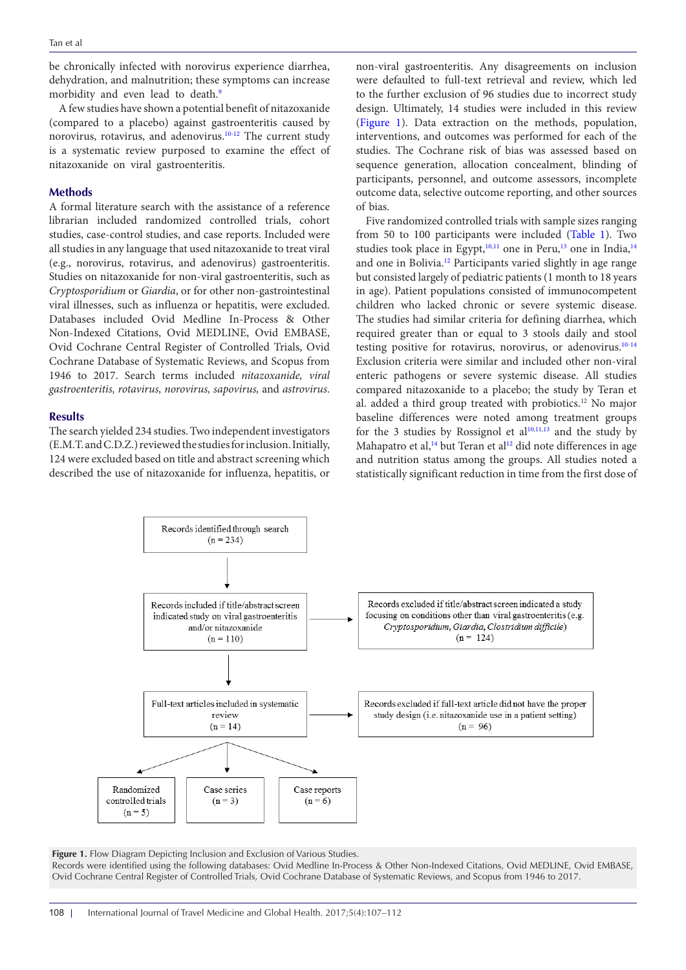be chronically infected with norovirus experience diarrhea, dehydration, and malnutrition; these symptoms can increase morbidity and even lead to death.<sup>[9](#page-4-8)</sup>

A few studies have shown a potential benefit of nitazoxanide (compared to a placebo) against gastroenteritis caused by norovirus, rotavirus, and adenovirus.[10-](#page-4-9)[12](#page-5-0) The current study is a systematic review purposed to examine the effect of nitazoxanide on viral gastroenteritis.

### **Methods**

A formal literature search with the assistance of a reference librarian included randomized controlled trials, cohort studies, case-control studies, and case reports. Included were all studies in any language that used nitazoxanide to treat viral (e.g., norovirus, rotavirus, and adenovirus) gastroenteritis. Studies on nitazoxanide for non-viral gastroenteritis, such as *Cryptosporidium* or *Giardia*, or for other non-gastrointestinal viral illnesses, such as influenza or hepatitis, were excluded. Databases included Ovid Medline In-Process & Other Non-Indexed Citations, Ovid MEDLINE, Ovid EMBASE, Ovid Cochrane Central Register of Controlled Trials, Ovid Cochrane Database of Systematic Reviews, and Scopus from 1946 to 2017. Search terms included *nitazoxanide, viral gastroenteritis, rotavirus, norovirus, sapovirus,* and *astrovirus*.

### **Results**

The search yielded 234 studies. Two independent investigators (E.M.T. and C.D.Z.) reviewed the studies for inclusion. Initially, 124 were excluded based on title and abstract screening which described the use of nitazoxanide for influenza, hepatitis, or

non-viral gastroenteritis. Any disagreements on inclusion were defaulted to full-text retrieval and review, which led to the further exclusion of 96 studies due to incorrect study design. Ultimately, 14 studies were included in this review [\(Figure 1](#page-1-0)). Data extraction on the methods, population, interventions, and outcomes was performed for each of the studies. The Cochrane risk of bias was assessed based on sequence generation, allocation concealment, blinding of participants, personnel, and outcome assessors, incomplete outcome data, selective outcome reporting, and other sources of bias.

Five randomized controlled trials with sample sizes ranging from 50 to 100 participants were included [\(Table 1](#page-2-0)). Two studies took place in Egypt,<sup>10,11</sup> one in Peru,<sup>13</sup> one in India,<sup>14</sup> and one in Bolivia[.12](#page-5-0) Participants varied slightly in age range but consisted largely of pediatric patients (1 month to 18 years in age). Patient populations consisted of immunocompetent children who lacked chronic or severe systemic disease. The studies had similar criteria for defining diarrhea, which required greater than or equal to 3 stools daily and stool testing positive for rotavirus, norovirus, or adenovirus.<sup>10[-14](#page-5-3)</sup> Exclusion criteria were similar and included other non-viral enteric pathogens or severe systemic disease. All studies compared nitazoxanide to a placebo; the study by Teran et al. added a third group treated with probiotics.<sup>12</sup> No major baseline differences were noted among treatment groups for the 3 studies by Rossignol et  $al<sup>10,11,13</sup>$  $al<sup>10,11,13</sup>$  $al<sup>10,11,13</sup>$  $al<sup>10,11,13</sup>$  $al<sup>10,11,13</sup>$  $al<sup>10,11,13</sup>$  $al<sup>10,11,13</sup>$  and the study by Mahapatro et al,<sup>14</sup> but Teran et al<sup>[12](#page-5-0)</sup> did note differences in age and nutrition status among the groups. All studies noted a statistically significant reduction in time from the first dose of

<span id="page-1-0"></span>

**Figure 1.** Flow Diagram Depicting Inclusion and Exclusion of Various Studies. Records were identified using the following databases: Ovid Medline In-Process & Other Non-Indexed Citations, Ovid MEDLINE, Ovid EMBASE, Ovid Cochrane Central Register of Controlled Trials, Ovid Cochrane Database of Systematic Reviews, and Scopus from 1946 to 2017.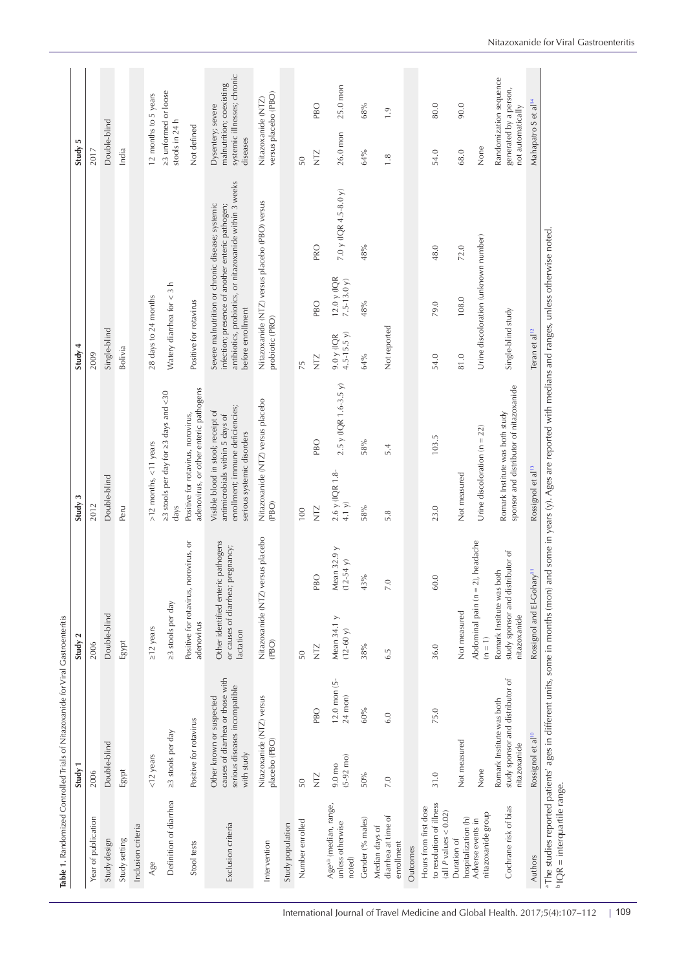<span id="page-2-0"></span>

|                                                                                 | Study 1                                                                                                                                                                 | Study 2                                                                       |                          | Study:                                                                                                                                  |                                         | Study 4                     |                                      |                                                                                                                                                                 | Ю<br>Study                      |                                                         |
|---------------------------------------------------------------------------------|-------------------------------------------------------------------------------------------------------------------------------------------------------------------------|-------------------------------------------------------------------------------|--------------------------|-----------------------------------------------------------------------------------------------------------------------------------------|-----------------------------------------|-----------------------------|--------------------------------------|-----------------------------------------------------------------------------------------------------------------------------------------------------------------|---------------------------------|---------------------------------------------------------|
| Year of publication                                                             | 2006                                                                                                                                                                    | 2006                                                                          |                          | 2012                                                                                                                                    |                                         | 2009                        |                                      |                                                                                                                                                                 | 2017                            |                                                         |
| Study design                                                                    | Double-blind                                                                                                                                                            | Double-blind                                                                  |                          | Double-blind                                                                                                                            |                                         | Single-blind                |                                      |                                                                                                                                                                 | Double-blind                    |                                                         |
| Study setting                                                                   | Egypt                                                                                                                                                                   | Egypt                                                                         |                          | Peru                                                                                                                                    |                                         | Bolivia                     |                                      |                                                                                                                                                                 | India                           |                                                         |
| Inclusion criteria                                                              |                                                                                                                                                                         |                                                                               |                          |                                                                                                                                         |                                         |                             |                                      |                                                                                                                                                                 |                                 |                                                         |
| Age                                                                             | $<$ 12 years                                                                                                                                                            | $\geq$ 12 years                                                               |                          | $>12$ months, <11 years                                                                                                                 |                                         | 28 days to 24 months        |                                      |                                                                                                                                                                 |                                 | 12 months to 5 years                                    |
| Definition of diarrhea                                                          | ≥3 stools per day                                                                                                                                                       | ≥3 stools per day                                                             |                          | days                                                                                                                                    | ≥3 stools per day for ≥3 days and <30   |                             | Watery diarrhea for $<$ 3 h          |                                                                                                                                                                 | stools in 24 h                  | ≥3 unformed or loose                                    |
| Stool tests                                                                     | Positive for rotavirus                                                                                                                                                  | Positive for rotavirus, norovirus, or<br>adenovirus                           |                          | Positive for rotavirus, norovirus,                                                                                                      | adenovirus, or other enteric pathogens  | Positive for rotavirus      |                                      |                                                                                                                                                                 | Not defined                     |                                                         |
| Exclusion criteria                                                              | causes of diarrhea or those with<br>serious diseases incompatible<br>Other known or suspected<br>with study                                                             | Other identified enteric pathogens<br>or causes of diarrhea;<br>lactation     | pregnancy;               | enrollment; immune deficiencies;<br>Visible blood in stool; receipt of<br>antimicrobials within 5 days of<br>serious systemic disorders |                                         | before enrollment           |                                      | antibiotics, probiotics, or nitazoxanide within 3 weeks<br>Severe malnutrition or chronic disease; systemic<br>infection; presence of another enteric pathogen; | Dysentery; severe<br>diseases   | systemic illnesses; chronic<br>malnutrition; coexisting |
| Intervention                                                                    | Nitazoxanide (NTZ) versus<br>placebo (PBO)                                                                                                                              | Nitazoxanide (NTZ) versus placebo<br>(PBO)                                    |                          | (PBO)                                                                                                                                   | Nitazoxanide (NTZ) versus placebo       | probiotic (PRO)             |                                      | Nitazoxanide (NTZ) versus placebo (PBO) versus                                                                                                                  |                                 | versus placebo (PBO)<br>Nitazoxanide (NTZ)              |
| Study population                                                                |                                                                                                                                                                         |                                                                               |                          |                                                                                                                                         |                                         |                             |                                      |                                                                                                                                                                 |                                 |                                                         |
| Number enrolled                                                                 | 50                                                                                                                                                                      | 50                                                                            |                          | 100                                                                                                                                     |                                         | 75                          |                                      |                                                                                                                                                                 | 50                              |                                                         |
|                                                                                 | PBO<br><b>N</b>                                                                                                                                                         | PBO<br><b>NTZ</b>                                                             |                          | $\frac{N}{Z}$                                                                                                                           | <b>PBO</b>                              | <b>NTZ</b>                  | PBO                                  | PRO                                                                                                                                                             | <b>ND</b>                       | PBO                                                     |
| Age <sup>a,b</sup> (median, range,<br>unless otherwise<br>noted)                | 12.0 mon (5-<br>$24$ mon)<br>$(5-92 \text{ mo})$<br>9.0 mo                                                                                                              | Mean $34.1 y$<br>$(12-60y)$                                                   | Mean 32.9 y<br>(12-54 y) | $2.6$ y (IQR 1.8-<br>4.1 $y$                                                                                                            | $2.5$ y (IQR 1.6-3.5 y)                 | $9.0$ y (IQR<br>4.5-15.5 y) | $12.0$ y $1$ QR<br>$7.5 - 13.0 y$    | 7.0 y (IQR 4.5-8.0 y)                                                                                                                                           | 26.0 mon                        | 25.0 mon                                                |
| Gender (% males)                                                                | $60\%$<br>50%                                                                                                                                                           | 43%<br>38%                                                                    |                          | 58%                                                                                                                                     | 58%                                     | 64%                         | 48%                                  | 48%                                                                                                                                                             | 64%                             | 68%                                                     |
| diarrhea at time of<br>Median days of<br>enrollment                             | $\ddot{6}$ .<br>7.0                                                                                                                                                     | 7.0<br>6.5                                                                    |                          | 5.8                                                                                                                                     | 5.4                                     | Not reported                |                                      |                                                                                                                                                                 | 1.8                             | 1.9                                                     |
| Outcomes                                                                        |                                                                                                                                                                         |                                                                               |                          |                                                                                                                                         |                                         |                             |                                      |                                                                                                                                                                 |                                 |                                                         |
| to resolution of illness<br>Hours from first dose<br>(all $P$ values $< 0.02$ ) | 75.0<br>31.0                                                                                                                                                            | 60.0<br>36.0                                                                  |                          | 23.0                                                                                                                                    | 103.5                                   | 54.0                        | 79.0                                 | 48.0                                                                                                                                                            | 54.0                            | 80.0                                                    |
| hospitalization (h)<br>Duration of                                              | Not measured                                                                                                                                                            | Not measured                                                                  |                          | Not measured                                                                                                                            |                                         | 81.0                        | 108.0                                | 72.0                                                                                                                                                            | 68.0                            | 90.0                                                    |
| nitazoxanide group<br>Adverse events in                                         | None                                                                                                                                                                    | Abdominal pain ( $n = 2$ ), headache<br>$(n = 1)$                             |                          | Urine discoloration ( $n = 22$ )                                                                                                        |                                         |                             | Urine discoloration (unknown number) |                                                                                                                                                                 | None                            |                                                         |
| Cochrane risk of bias                                                           | study sponsor and distributor of<br>Romark Institute was both<br>nitazoxanide                                                                                           | study sponsor and distributor of<br>Romark Institute was both<br>nitazoxanide |                          | Romark Institute was both study                                                                                                         | sponsor and distributor of nitazoxanide | Single-blind study          |                                      |                                                                                                                                                                 | not automatically               | Randomization sequence<br>generated by a person,        |
| Authors                                                                         | Rossignol et al <sup>10</sup>                                                                                                                                           | Rossignol and El-Gohary <sup>11</sup>                                         |                          | Rossignol et al <sup>13</sup>                                                                                                           |                                         | Teran et al <sup>12</sup>   |                                      |                                                                                                                                                                 | Mahapatro S et al <sup>14</sup> |                                                         |
|                                                                                 | a The studies reported patients' ages in different units, some in months (mon) and some in years (y). Ages are reported with medians and ranges, unless otherwise noted |                                                                               |                          |                                                                                                                                         |                                         |                             |                                      |                                                                                                                                                                 |                                 |                                                         |
| <sup>b</sup> IQR = interquartile range.                                         |                                                                                                                                                                         |                                                                               |                          |                                                                                                                                         |                                         |                             |                                      |                                                                                                                                                                 |                                 |                                                         |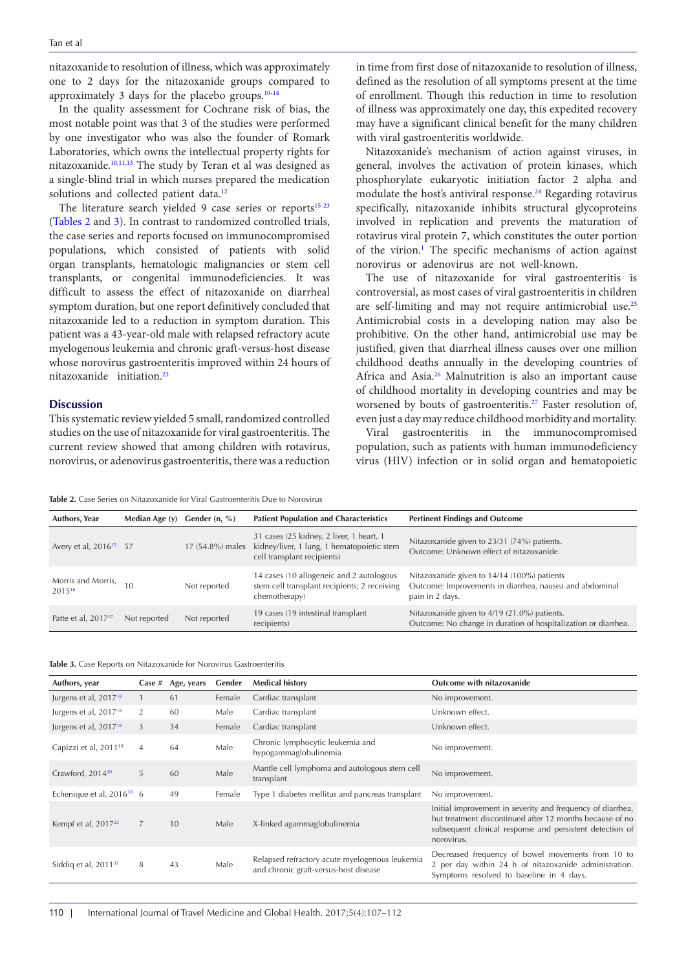nitazoxanide to resolution of illness, which was approximately one to 2 days for the nitazoxanide groups compared to approximately 3 days for the placebo groups[.10-](#page-4-9)[14](#page-5-3)

In the quality assessment for Cochrane risk of bias, the most notable point was that 3 of the studies were performed by one investigator who was also the founder of Romark Laboratories, which owns the intellectual property rights for nitazoxanide[.10,](#page-4-9)[11,](#page-5-1)[13](#page-5-2) The study by Teran et al was designed as a single-blind trial in which nurses prepared the medication solutions and collected patient data.<sup>[12](#page-5-0)</sup>

The literature search yielded 9 case series or reports<sup>15-[23](#page-5-5)</sup> ([Tables 2](#page-3-0) and [3\)](#page-3-1). In contrast to randomized controlled trials, the case series and reports focused on immunocompromised populations, which consisted of patients with solid organ transplants, hematologic malignancies or stem cell transplants, or congenital immunodeficiencies. It was difficult to assess the effect of nitazoxanide on diarrheal symptom duration, but one report definitively concluded that nitazoxanide led to a reduction in symptom duration. This patient was a 43-year-old male with relapsed refractory acute myelogenous leukemia and chronic graft-versus-host disease whose norovirus gastroenteritis improved within 24 hours of nitazoxanide initiation.<sup>[23](#page-5-5)</sup>

# **Discussion**

This systematic review yielded 5 small, randomized controlled studies on the use of nitazoxanide for viral gastroenteritis. The current review showed that among children with rotavirus, norovirus, or adenovirus gastroenteritis, there was a reduction in time from first dose of nitazoxanide to resolution of illness, defined as the resolution of all symptoms present at the time of enrollment. Though this reduction in time to resolution of illness was approximately one day, this expedited recovery may have a significant clinical benefit for the many children with viral gastroenteritis worldwide.

Nitazoxanide's mechanism of action against viruses, in general, involves the activation of protein kinases, which phosphorylate eukaryotic initiation factor 2 alpha and modulate the host's antiviral response.<sup>24</sup> Regarding rotavirus specifically, nitazoxanide inhibits structural glycoproteins involved in replication and prevents the maturation of rotavirus viral protein 7, which constitutes the outer portion of the virion.<sup>1</sup> The specific mechanisms of action against norovirus or adenovirus are not well-known.

The use of nitazoxanide for viral gastroenteritis is controversial, as most cases of viral gastroenteritis in children are self-limiting and may not require antimicrobial use[.25](#page-5-7) Antimicrobial costs in a developing nation may also be prohibitive. On the other hand, antimicrobial use may be justified, given that diarrheal illness causes over one million childhood deaths annually in the developing countries of Africa and Asia.<sup>26</sup> Malnutrition is also an important cause of childhood mortality in developing countries and may be worsened by bouts of gastroenteritis.<sup>27</sup> Faster resolution of, even just a day may reduce childhood morbidity and mortality.

Viral gastroenteritis in the immunocompromised population, such as patients with human immunodeficiency virus (HIV) infection or in solid organ and hematopoietic

<span id="page-3-0"></span>**Table 2.** Case Series on Nitazoxanide for Viral Gastroenteritis Due to Norovirus

| Authors, Year                      | Median Age (y) | Gender $(n, %)$  | <b>Patient Population and Characteristics</b>                                                                         | <b>Pertinent Findings and Outcome</b>                                                                                     |
|------------------------------------|----------------|------------------|-----------------------------------------------------------------------------------------------------------------------|---------------------------------------------------------------------------------------------------------------------------|
| Avery et al, 2016 <sup>15</sup> 57 |                | 17 (54.8%) males | 31 cases (25 kidney, 2 liver, 1 heart, 1<br>kidney/liver, 1 lung, 1 hematopoietic stem<br>cell transplant recipients) | Nitazoxanide given to 23/31 (74%) patients.<br>Outcome: Unknown effect of nitazoxanide.                                   |
| Morris and Morris, 10<br>201516    |                | Not reported     | 14 cases (10 allogeneic and 2 autologous<br>stem cell transplant recipients; 2 receiving<br>chemotherapy)             | Nitazoxanide given to 14/14 (100%) patients<br>Outcome: Improvements in diarrhea, nausea and abdominal<br>pain in 2 days. |
| Patte et al, 2017 <sup>17</sup>    | Not reported   | Not reported     | 19 cases (19 intestinal transplant<br>recipients)                                                                     | Nitazoxanide given to 4/19 (21.0%) patients.<br>Outcome: No change in duration of hospitalization or diarrhea.            |

<span id="page-3-1"></span>

|  |  |  | Table 3. Case Reports on Nitazoxanide for Norovirus Gastroenteritis |
|--|--|--|---------------------------------------------------------------------|
|--|--|--|---------------------------------------------------------------------|

| Authors, year                     | Case $#$       | Age, years | Gender | <b>Medical history</b>                                                                  | Outcome with nitazoxanide                                                                                                                                                                        |
|-----------------------------------|----------------|------------|--------|-----------------------------------------------------------------------------------------|--------------------------------------------------------------------------------------------------------------------------------------------------------------------------------------------------|
| Jurgens et al, 2017 <sup>18</sup> |                | 61         | Female | Cardiac transplant                                                                      | No improvement.                                                                                                                                                                                  |
| Jurgens et al, 2017 <sup>18</sup> | 2              | 60         | Male   | Cardiac transplant                                                                      | Unknown effect.                                                                                                                                                                                  |
| Jurgens et al, 2017 <sup>18</sup> | 3              | 34         | Female | Cardiac transplant                                                                      | Unknown effect.                                                                                                                                                                                  |
| Capizzi et al, 2011 <sup>19</sup> | $\overline{4}$ | 64         | Male   | Chronic lymphocytic leukemia and<br>hypogammaglobulinemia                               | No improvement.                                                                                                                                                                                  |
| Crawford, 2014 <sup>20</sup>      | 5              | 60         | Male   | Mantle cell lymphoma and autologous stem cell<br>transplant                             | No improvement.                                                                                                                                                                                  |
| Echenique et al, $2016^{30}$ 6    |                | 49         | Female | Type 1 diabetes mellitus and pancreas transplant                                        | No improvement.                                                                                                                                                                                  |
| Kempf et al, $2017^{22}$          | 7              | 10         | Male   | X-linked agammaglobulinemia                                                             | Initial improvement in severity and frequency of diarrhea,<br>but treatment discontinued after 12 months because of no<br>subsequent clinical response and persistent detection of<br>norovirus. |
| Siddiq et al, $201131$            | 8              | 43         | Male   | Relapsed refractory acute myelogenous leukemia<br>and chronic graft-versus-host disease | Decreased frequency of bowel movements from 10 to<br>2 per day within 24 h of nitazoxanide administration.<br>Symptoms resolved to baseline in 4 days.                                           |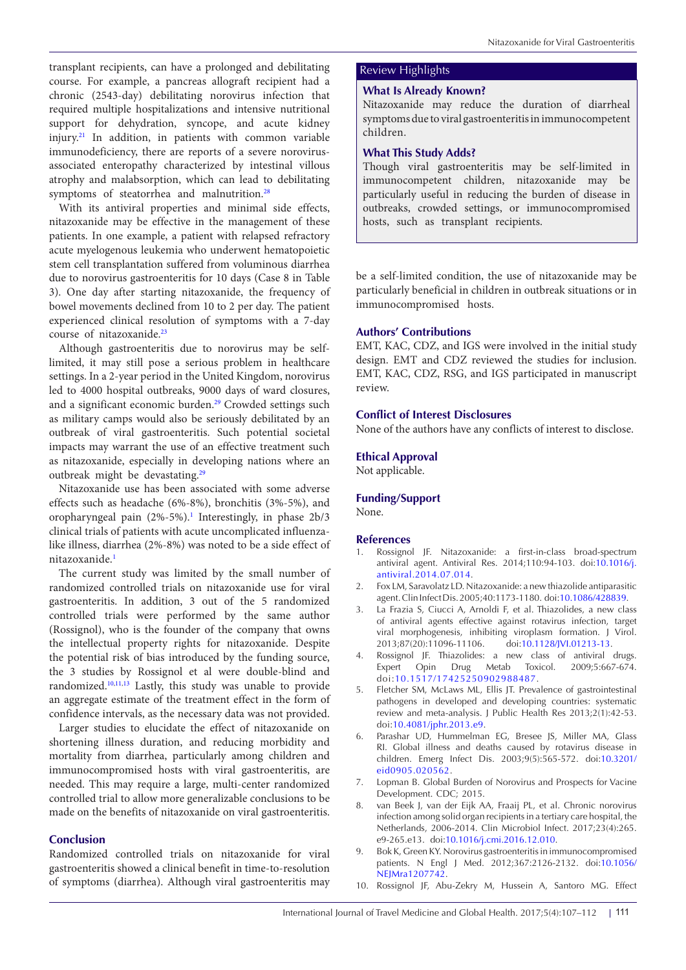transplant recipients, can have a prolonged and debilitating Review Highlights course. For example, a pancreas allograft recipient had a chronic (2543-day) debilitating norovirus infection that required multiple hospitalizations and intensive nutritional support for dehydration, syncope, and acute kidney injury[.21](#page-5-18) In addition, in patients with common variable immunodeficiency, there are reports of a severe norovirusassociated enteropathy characterized by intestinal villous atrophy and malabsorption, which can lead to debilitating symptoms of steatorrhea and malnutrition.<sup>[28](#page-5-19)</sup>

With its antiviral properties and minimal side effects, nitazoxanide may be effective in the management of these patients. In one example, a patient with relapsed refractory acute myelogenous leukemia who underwent hematopoietic stem cell transplantation suffered from voluminous diarrhea due to norovirus gastroenteritis for 10 days (Case 8 in Table 3). One day after starting nitazoxanide, the frequency of bowel movements declined from 10 to 2 per day. The patient experienced clinical resolution of symptoms with a 7-day course of nitazoxanide.<sup>[23](#page-5-5)</sup>

Although gastroenteritis due to norovirus may be selflimited, it may still pose a serious problem in healthcare settings. In a 2-year period in the United Kingdom, norovirus led to 4000 hospital outbreaks, 9000 days of ward closures, and a significant economic burden.<sup>29</sup> Crowded settings such as military camps would also be seriously debilitated by an outbreak of viral gastroenteritis. Such potential societal impacts may warrant the use of an effective treatment such as nitazoxanide, especially in developing nations where an outbreak might be devastating.<sup>[29](#page-5-20)</sup>

Nitazoxanide use has been associated with some adverse effects such as headache (6%-8%), bronchitis (3%-5%), and oropharyngeal pain (2%-5%).<sup>[1](#page-4-0)</sup> Interestingly, in phase 2b/3 clinical trials of patients with acute uncomplicated influenzalike illness, diarrhea (2%-8%) was noted to be a side effect of nitazoxanide.[1](#page-4-0)

The current study was limited by the small number of randomized controlled trials on nitazoxanide use for viral gastroenteritis. In addition, 3 out of the 5 randomized controlled trials were performed by the same author (Rossignol), who is the founder of the company that owns the intellectual property rights for nitazoxanide. Despite the potential risk of bias introduced by the funding source, the 3 studies by Rossignol et al were double-blind and randomized[.10,](#page-4-9)[11,](#page-5-1)[13](#page-5-2) Lastly, this study was unable to provide an aggregate estimate of the treatment effect in the form of confidence intervals, as the necessary data was not provided.

Larger studies to elucidate the effect of nitazoxanide on shortening illness duration, and reducing morbidity and mortality from diarrhea, particularly among children and immunocompromised hosts with viral gastroenteritis, are needed. This may require a large, multi-center randomized controlled trial to allow more generalizable conclusions to be made on the benefits of nitazoxanide on viral gastroenteritis.

# **Conclusion**

Randomized controlled trials on nitazoxanide for viral gastroenteritis showed a clinical benefit in time-to-resolution of symptoms (diarrhea). Although viral gastroenteritis may

### **What Is Already Known?**

Nitazoxanide may reduce the duration of diarrheal symptoms due to viral gastroenteritis in immunocompetent children.

# **What This Study Adds?**

Though viral gastroenteritis may be self-limited in immunocompetent children, nitazoxanide may be particularly useful in reducing the burden of disease in outbreaks, crowded settings, or immunocompromised hosts, such as transplant recipients.

be a self-limited condition, the use of nitazoxanide may be particularly beneficial in children in outbreak situations or in immunocompromised hosts.

### **Authors' Contributions**

EMT, KAC, CDZ, and IGS were involved in the initial study design. EMT and CDZ reviewed the studies for inclusion. EMT, KAC, CDZ, RSG, and IGS participated in manuscript review.

# **Conflict of Interest Disclosures**

None of the authors have any conflicts of interest to disclose.

### **Ethical Approval**

Not applicable.

# **Funding/Support**

None.

### **References**

- <span id="page-4-0"></span>1. Rossignol JF. Nitazoxanide: a first-in-class broad-spectrum antiviral agent. Antiviral Res. 2014;110:94-103. doi[:10.1016/j.](http://dx.doi.org/10.1016/j.antiviral.2014.07.014) [antiviral.2014.07.014.](http://dx.doi.org/10.1016/j.antiviral.2014.07.014)
- <span id="page-4-1"></span>2. Fox LM, Saravolatz LD. Nitazoxanide: a new thiazolide antiparasitic agent. Clin Infect Dis. 2005;40:1173-1180. doi:[10.1086/428839.](https://doi.org/10.1086/428839)
- <span id="page-4-2"></span>3. La Frazia S, Ciucci A, Arnoldi F, et al. Thiazolides, a new class of antiviral agents effective against rotavirus infection, target viral morphogenesis, inhibiting viroplasm formation. J Virol. 2013;87(20):11096-11106. doi:[10.1128/JVI.01213-13.](http://dx.doi.org/10.1128/JVI.01213-13)
- <span id="page-4-3"></span>4. Rossignol JF. Thiazolides: a new class of antiviral drugs. Expert Opin Drug Metab Toxicol. 2009;5:667-674. doi:[10.1517/17425250902988487.](https://doi.org/10.1517/17425250902988487)
- <span id="page-4-4"></span>5. Fletcher SM, McLaws ML, Ellis JT. Prevalence of gastrointestinal pathogens in developed and developing countries: systematic review and meta-analysis. J Public Health Res 2013;2(1):42-53. doi:[10.4081/jphr.2013.e9.](http://dx.doi.org/10.4081/jphr.2013.e9)
- <span id="page-4-5"></span>6. Parashar UD, Hummelman EG, Bresee JS, Miller MA, Glass RI. Global illness and deaths caused by rotavirus disease in children. Emerg Infect Dis. 2003;9(5):565-572. doi:[10.3201/](https://doi.org/10.3201/eid0905.020562) [eid0905.020562.](https://doi.org/10.3201/eid0905.020562)
- <span id="page-4-6"></span>7. Lopman B. Global Burden of Norovirus and Prospects for Vacine Development. CDC; 2015.
- <span id="page-4-7"></span>van Beek J, van der Eijk AA, Fraaij PL, et al. Chronic norovirus infection among solid organ recipients in a tertiary care hospital, the Netherlands, 2006-2014. Clin Microbiol Infect. 2017;23(4):265. e9-265.e13. doi:[10.1016/j.cmi.2016.12.010.](http://dx.doi.org/10.1016/j.cmi.2016.12.010)
- <span id="page-4-8"></span>9. Bok K, Green KY. Norovirus gastroenteritis in immunocompromised patients. N Engl J Med. 2012;367:2126-2132. doi:[10.1056/](http://dx.doi.org/10.1056/NEJMra1207742) NEIMra1207742.
- <span id="page-4-9"></span>10. Rossignol JF, Abu-Zekry M, Hussein A, Santoro MG. Effect